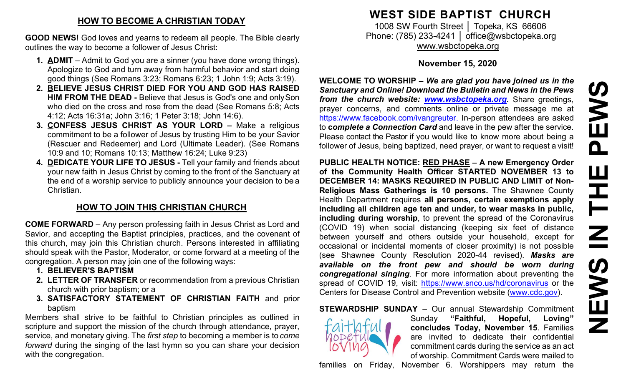### **HOW TO BECOME A CHRISTIAN TODAY**

**GOOD NEWS!** God loves and yearns to redeem all people. The Bible clearly outlines the way to become a follower of Jesus Christ:

- **1. ADMIT**  Admit to God you are a sinner (you have done wrong things). Apologize to God and turn away from harmful behavior and start doing good things (See Romans 3:23; Romans 6:23; 1 John 1:9; Acts 3:19).
- **2. BELIEVE JESUS CHRIST DIED FOR YOU AND GOD HAS RAISED HIM FROM THE DEAD -** Believe that Jesus is God's one and onlySon who died on the cross and rose from the dead (See Romans 5:8; Acts 4:12; Acts 16:31a; John 3:16; 1 Peter 3:18; John 14:6).
- **3. CONFESS JESUS CHRIST AS YOUR LORD –** Make a religious commitment to be a follower of Jesus by trusting Him to be your Savior (Rescuer and Redeemer) and Lord (Ultimate Leader). (See Romans 10:9 and 10; Romans 10:13; Matthew 16:24; Luke 9:23)
- **4. DEDICATE YOUR LIFE TO JESUS -** Tell your family and friends about your new faith in Jesus Christ by coming to the front of the Sanctuary at the end of a worship service to publicly announce your decision to be a Christian.

## **HOW TO JOIN THIS CHRISTIAN CHURCH**

**COME FORWARD** – Any person professing faith in Jesus Christ as Lord and Savior, and accepting the Baptist principles, practices, and the covenant of this church, may join this Christian church. Persons interested in affiliating should speak with the Pastor, Moderator, or come forward at a meeting of the congregation. A person may join one of the following ways:

- **1. BELIEVER'S BAPTISM**
- **2. LETTER OF TRANSFER** or recommendation from a previous Christian church with prior baptism; or a
- **3. SATISFACTORY STATEMENT OF CHRISTIAN FAITH** and prior baptism

Members shall strive to be faithful to Christian principles as outlined in scripture and support the mission of the church through attendance, prayer, service, and monetary giving. The *first step* to becoming a member is to *come forward* during the singing of the last hymn so you can share your decision with the congregation.

# **WEST SIDE BAPTIST CHURCH**

1008 SW Fourth Street | Topeka, KS 66606 Phone: (785) 233-4241 │ [office@wsbctopeka.org](mailto:office@wsbctopeka.org) [www.wsbctopeka.org](http://www.wsbctopeka.org/)

#### **November 15, 2020**

**WELCOME TO WORSHIP –** *We are glad you have joined us in the Sanctuary and Online! Download the Bulletin and News in the Pews from the church website: [www.wsbctopeka.org.](http://www.wsbctopeka.org/)* Share greetings, prayer concerns, and comments online or private message me at <https://www.facebook.com/ivangreuter.> In-person attendees are asked to **c***omplete a Connection Card* and leave in the pew after the service. Please contact the Pastor if you would like to know more about being a follower of Jesus, being baptized, need prayer, or want to request a visit!

**PUBLIC HEALTH NOTICE: RED PHASE – A new Emergency Order of the Community Health Officer STARTED NOVEMBER 13 to DECEMBER 14: MASKS REQUIRED IN PUBLIC AND LIMIT of Non-Religious Mass Gatherings is 10 persons.** The Shawnee County Health Department requires **all persons, certain exemptions apply including all children age ten and under, to wear masks in public, including during worship**, to prevent the spread of the Coronavirus (COVID 19) when social distancing (keeping six feet of distance between yourself and others outside your household, except for occasional or incidental moments of closer proximity) is not possible (see Shawnee County Resolution 2020-44 revised). *Masks are available on the front pew and should be worn during congregational singing*. For more information about preventing the spread of COVID 19, visit:<https://www.snco.us/hd/coronavirus> or the Centers for Disease Control and Prevention website [\(www.cdc.gov\)](http://www.cdc.gov/).

**STEWARDSHIP SUNDAY** – Our annual Stewardship Commitment



Sunday **"Faithful, Hopeful, Loving" concludes Today, November 15**. Families are invited to dedicate their confidential commitment cards during the service as an act of worship. Commitment Cards were mailed to families on Friday, November 6. Worshippers may return the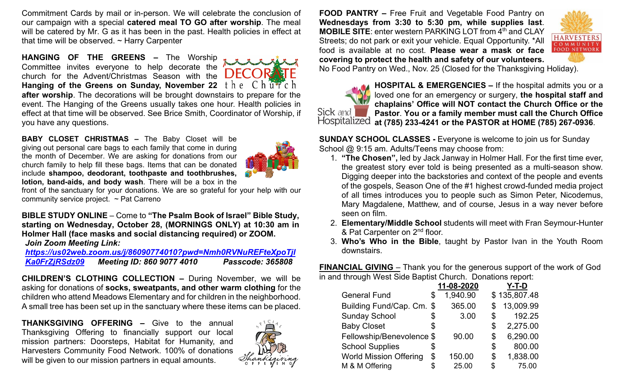Commitment Cards by mail or in-person. We will celebrate the conclusion of our campaign with a special **catered meal TO GO after worship**. The meal will be catered by Mr. G as it has been in the past. Health policies in effect at that time will be observed.  $\sim$  Harry Carpenter

**HANGING OF THE GREENS –** The Worship Committee invites everyone to help decorate the church for the Advent/Christmas Season with the Hanging of the Greens on Sunday, November 22 the Church **after worship**. The decorations will be brought downstairs to prepare for the event. The Hanging of the Greens usually takes one hour. Health policies in effect at that time will be observed. See Brice Smith, Coordinator of Worship, if you have any questions.

**BABY CLOSET CHRISTMAS –** The Baby Closet will be giving out personal care bags to each family that come in during the month of December. We are asking for donations from our church family to help fill these bags. Items that can be donated include **shampoo, deodorant, toothpaste and toothbrushes, lotion, band-aids, and body wash**. There will be a box in the



front of the sanctuary for your donations. We are so grateful for your help with our community service project. ~ Pat Carreno

**BIBLE STUDY ONLINE** – Come to **"The Psalm Book of Israel" Bible Study, starting on Wednesday, October 28, (MORNINGS ONLY) at 10:30 am in Holmer Hall (face masks and social distancing required) or ZOOM.**  *Join Zoom Meeting Link:*

*[https://us02web.zoom.us/j/86090774010?pwd=Nmh0RVNuREFteXpoTjl](https://us02web.zoom.us/j/86090774010?pwd=Nmh0RVNuREFteXpoTjlKa0FrZjRSdz09) [Ka0FrZjRSdz09](https://us02web.zoom.us/j/86090774010?pwd=Nmh0RVNuREFteXpoTjlKa0FrZjRSdz09) Meeting ID: 860 9077 4010 Passcode: 365808*

**CHILDREN'S CLOTHING COLLECTION –** During November, we will be asking for donations of **socks, sweatpants, and other warm clothing** for the children who attend Meadows Elementary and for children in the neighborhood. A small tree has been set up in the sanctuary where these items can be placed.

**THANKSGIVING OFFERING –** Give to the annual Thanksgiving Offering to financially support our local mission partners: Doorsteps, Habitat for Humanity, and Harvesters Community Food Network. 100% of donations will be given to our mission partners in equal amounts.



**FOOD PANTRY –** Free Fruit and Vegetable Food Pantry on **Wednesdays from 3:30 to 5:30 pm, while supplies last**. **MOBILE SITE:** enter western PARKING LOT from 4<sup>th</sup> and CLAY Streets; do not park or exit your vehicle. Equal Opportunity. \*All food is available at no cost. **Please wear a mask or face covering to protect the health and safety of our volunteers.**



No Food Pantry on Wed., Nov. 25 (Closed for the Thanksgiving Holiday).



**HOSPITAL & EMERGENCIES –** If the hospital admits you or a loved one for an emergency or surgery, **the hospital staff and chaplains' Office will NOT contact the Church Office or the Pastor**. **You or a family member must call the Church Office at (785) 233-4241 or the PASTOR at HOME (785) 267-0936**.

**SUNDAY SCHOOL CLASSES -** Everyone is welcome to join us for Sunday School @ 9:15 am. Adults/Teens may choose from:

- 1. **"The Chosen",** led by Jack Janway in Holmer Hall. For the first time ever, the greatest story ever told is being presented as a multi-season show. Digging deeper into the backstories and context of the people and events of the gospels, Season One of the #1 highest crowd-funded media project of all times introduces you to people such as Simon Peter, Nicodemus, Mary Magdalene, Matthew, and of course, Jesus in a way never before seen on film.
- 2. **Elementary/Middle School** students will meet with Fran Seymour-Hunter & Pat Carpenter on 2<sup>nd</sup> floor.
- 3. **Who's Who in the Bible**, taught by Pastor Ivan in the Youth Room downstairs.

**FINANCIAL GIVING** – Thank you for the generous support of the work of God in and through West Side Baptist Church. Donations report:

|                               |    | 11-08-2020 | Y-T-D           |
|-------------------------------|----|------------|-----------------|
| <b>General Fund</b>           | \$ | 1,940.90   | \$135,807.48    |
| Building Fund/Cap. Cm. \$     |    | 365.00     | \$<br>13,009.99 |
| <b>Sunday School</b>          | \$ | 3.00       | \$<br>192.25    |
| <b>Baby Closet</b>            | \$ |            | \$<br>2,275.00  |
| Fellowship/Benevolence \$     |    | 90.00      | \$<br>6,290.00  |
| <b>School Supplies</b>        | \$ |            | \$<br>800.00    |
| <b>World Mission Offering</b> | \$ | 150.00     | \$<br>1,838.00  |
| M & M Offering                | S  | 25.00      | \$<br>75.00     |